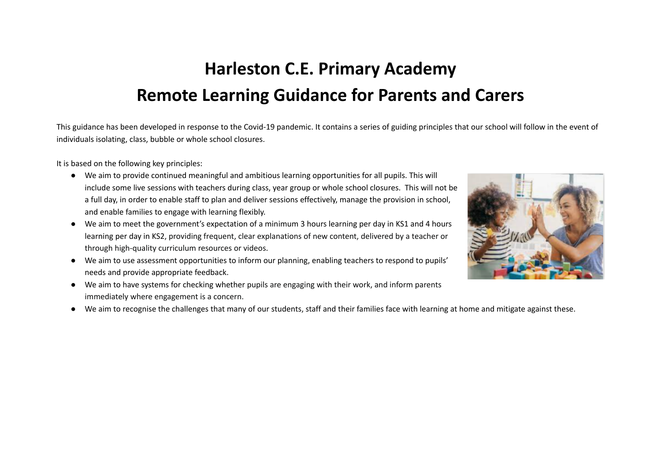# **Harleston C.E. Primary Academy Remote Learning Guidance for Parents and Carers**

This guidance has been developed in response to the Covid-19 pandemic. It contains a series of guiding principles that our school will follow in the event of individuals isolating, class, bubble or whole school closures.

It is based on the following key principles:

- We aim to provide continued meaningful and ambitious learning opportunities for all pupils. This will include some live sessions with teachers during class, year group or whole school closures. This will not be a full day, in order to enable staff to plan and deliver sessions effectively, manage the provision in school, and enable families to engage with learning flexibly.
- We aim to meet the government's expectation of a minimum 3 hours learning per day in KS1 and 4 hours learning per day in KS2, providing frequent, clear explanations of new content, delivered by a teacher or through high-quality curriculum resources or videos.
- We aim to use assessment opportunities to inform our planning, enabling teachers to respond to pupils' needs and provide appropriate feedback.
- We aim to have systems for checking whether pupils are engaging with their work, and inform parents immediately where engagement is a concern.



● We aim to recognise the challenges that many of our students, staff and their families face with learning at home and mitigate against these.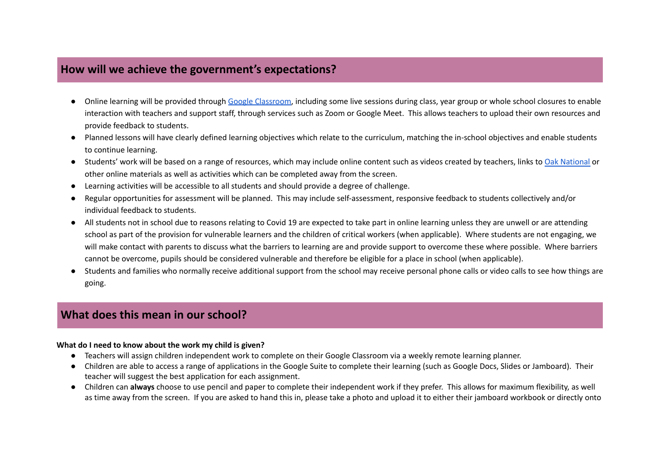# **How will we achieve the government's expectations?**

- Online learning will be provided through Google [Classroom](https://www.youtube.com/watch?v=xfgqtCi7hdo#), including some live sessions during class, year group or whole school closures to enable interaction with teachers and support staff, through services such as Zoom or Google Meet. This allows teachers to upload their own resources and provide feedback to students.
- Planned lessons will have clearly defined learning objectives which relate to the curriculum, matching the in-school objectives and enable students to continue learning.
- Students' work will be based on a range of resources, which may include online content such as videos created by teachers, links to Oak [National](https://classroom.thenational.academy/) or other online materials as well as activities which can be completed away from the screen.
- Learning activities will be accessible to all students and should provide a degree of challenge.
- Regular opportunities for assessment will be planned. This may include self-assessment, responsive feedback to students collectively and/or individual feedback to students.
- All students not in school due to reasons relating to Covid 19 are expected to take part in online learning unless they are unwell or are attending school as part of the provision for vulnerable learners and the children of critical workers (when applicable). Where students are not engaging, we will make contact with parents to discuss what the barriers to learning are and provide support to overcome these where possible. Where barriers cannot be overcome, pupils should be considered vulnerable and therefore be eligible for a place in school (when applicable).
- Students and families who normally receive additional support from the school may receive personal phone calls or video calls to see how things are going.

## **What does this mean in our school?**

#### **What do I need to know about the work my child is given?**

- Teachers will assign children independent work to complete on their Google Classroom via a weekly remote learning planner.
- Children are able to access a range of applications in the Google Suite to complete their learning (such as Google Docs, Slides or Jamboard). Their teacher will suggest the best application for each assignment.
- Children can **always** choose to use pencil and paper to complete their independent work if they prefer. This allows for maximum flexibility, as well as time away from the screen. If you are asked to hand this in, please take a photo and upload it to either their jamboard workbook or directly onto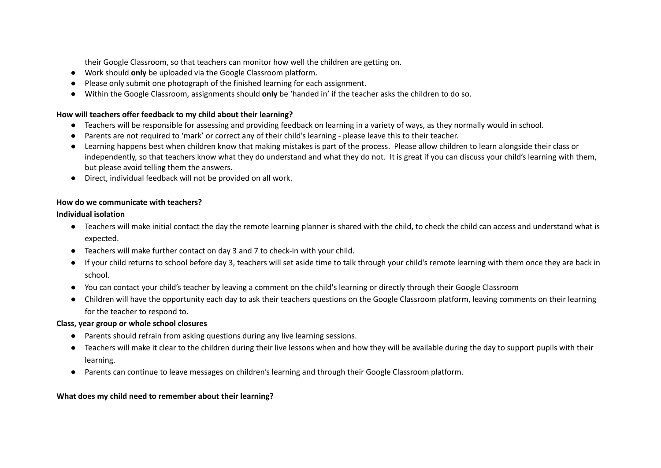their Google Classroom, so that teachers can monitor how well the children are getting on.

- Work should **only** be uploaded via the Google Classroom platform.
- Please only submit one photograph of the finished learning for each assignment.
- Within the Google Classroom, assignments should **only** be 'handed in' if the teacher asks the children to do so.

#### **How will teachers offer feedback to my child about their learning?**

- Teachers will be responsible for assessing and providing feedback on learning in a variety of ways, as they normally would in school.
- Parents are not required to 'mark' or correct any of their child's learning please leave this to their teacher.
- Learning happens best when children know that making mistakes is part of the process. Please allow children to learn alongside their class or independently, so that teachers know what they do understand and what they do not. It is great if you can discuss your child's learning with them, but please avoid telling them the answers.
- Direct, individual feedback will not be provided on all work.

#### **How do we communicate with teachers?**

#### **Individual isolation**

- Teachers will make initial contact the day the remote learning planner is shared with the child, to check the child can access and understand what is expected.
- Teachers will make further contact on day 3 and 7 to check-in with your child.
- If your child returns to school before day 3, teachers will set aside time to talk through your child's remote learning with them once they are back in school.
- You can contact your child's teacher by leaving a comment on the child's learning or directly through their Google Classroom
- Children will have the opportunity each day to ask their teachers questions on the Google Classroom platform, leaving comments on their learning for the teacher to respond to.

## **Class, year group or whole school closures**

- Parents should refrain from asking questions during any live learning sessions.
- Teachers will make it clear to the children during their live lessons when and how they will be available during the day to support pupils with their learning.
- Parents can continue to leave messages on children's learning and through their Google Classroom platform.

## **What does my child need to remember about their learning?**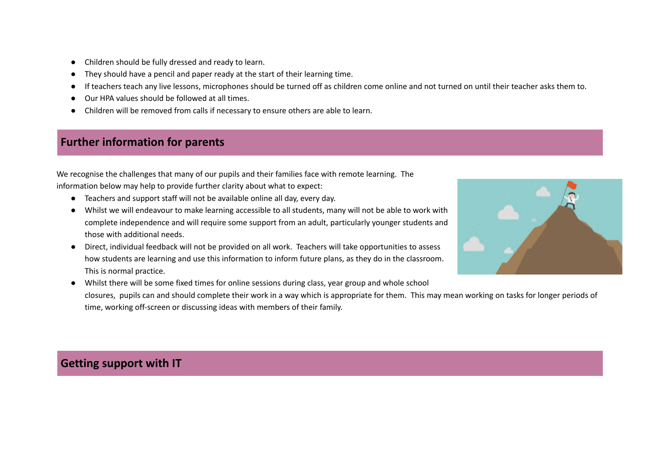- Children should be fully dressed and ready to learn.
- They should have a pencil and paper ready at the start of their learning time.
- If teachers teach any live lessons, microphones should be turned off as children come online and not turned on until their teacher asks them to.
- Our HPA values should be followed at all times.
- Children will be removed from calls if necessary to ensure others are able to learn.

## **Further information for parents**

We recognise the challenges that many of our pupils and their families face with remote learning. The information below may help to provide further clarity about what to expect:

- Teachers and support staff will not be available online all day, every day.
- Whilst we will endeavour to make learning accessible to all students, many will not be able to work with complete independence and will require some support from an adult, particularly younger students and those with additional needs.
- Direct, individual feedback will not be provided on all work. Teachers will take opportunities to assess how students are learning and use this information to inform future plans, as they do in the classroom. This is normal practice.



● Whilst there will be some fixed times for online sessions during class, year group and whole school closures, pupils can and should complete their work in a way which is appropriate for them. This may mean working on tasks for longer periods of time, working off-screen or discussing ideas with members of their family.

## **Getting support with IT**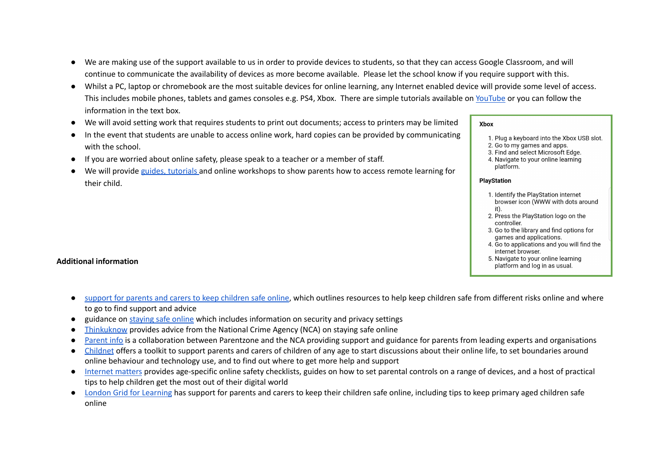- We are making use of the support available to us in order to provide devices to students, so that they can access Google Classroom, and will continue to communicate the availability of devices as more become available. Please let the school know if you require support with this.
- Whilst a PC, laptop or chromebook are the most suitable devices for online learning, any Internet enabled device will provide some level of access. This includes mobile phones, tablets and games consoles e.g. PS4, Xbox. There are simple tutorials available on [YouTube](https://www.youtube.com/) or you can follow the information in the text box.
- We will avoid setting work that requires students to print out documents; access to printers may be limited
- In the event that students are unable to access online work, hard copies can be provided by communicating with the school.
- If you are worried about online safety, please speak to a teacher or a member of staff.
- We will provide guides, [tutorials](https://docs.google.com/presentation/d/1Sx0K24tGDwfIUJyhCt7g2KKSLPrrDqIBa0hfkr1Xeao/edit?usp=sharing) and online workshops to show parents how to access remote learning for their child.

#### **Additional information**

- support for parents and carers to keep [children](https://www.gov.uk/government/publications/coronavirus-covid-19-keeping-children-safe-online/coronavirus-covid-19-support-for-parents-and-carers-to-keep-children-safe-online) safe online, which outlines resources to help keep children safe from different risks online and where to go to find support and advice
- guidance on [staying](https://www.gov.uk/guidance/covid-19-staying-safe-online) safe online which includes information on security and privacy settings
- [Thinkuknow](https://www.thinkuknow.co.uk/) provides advice from the National Crime Agency (NCA) on staying safe online
- [Parent](https://parentinfo.org/) info is a collaboration between Parentzone and the NCA providing support and guidance for parents from leading experts and organisations
- [Childnet](https://www.childnet.com/parents-and-carers/parent-and-carer-toolkit) offers a toolkit to support parents and carers of children of any age to start discussions about their online life, to set boundaries around online behaviour and technology use, and to find out where to get more help and support
- [Internet](https://www.internetmatters.org/?gclid=EAIaIQobChMIktuA5LWK2wIVRYXVCh2afg2aEAAYASAAEgIJ5vD_BwE) matters provides age-specific online safety checklists, guides on how to set parental controls on a range of devices, and a host of practical tips to help children get the most out of their digital world
- London Grid for [Learning](https://www.lgfl.net/online-safety/) has support for parents and carers to keep their children safe online, including tips to keep primary aged children safe online

#### **Xbox**

- 1. Plug a keyboard into the Xbox USB slot.
- 2. Go to my games and apps.
- 3. Find and select Microsoft Edge.
- 4. Navigate to your online learning platform.

#### **PlayStation**

- 1. Identify the PlayStation internet browser icon (WWW with dots around it).
- 2. Press the PlayStation logo on the controller.
- 3. Go to the library and find options for games and applications.
- 4. Go to applications and you will find the internet browser.
- 5. Navigate to your online learning platform and log in as usual.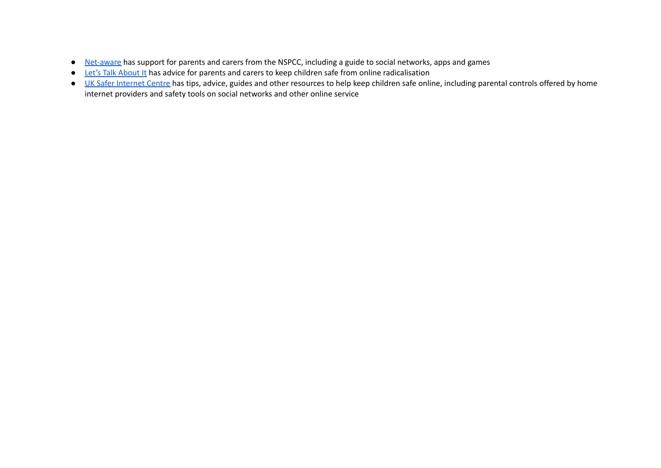- [Net-aware](https://www.net-aware.org.uk/) has support for parents and carers from the NSPCC, including a guide to social networks, apps and games
- Let's Talk [About](https://www.ltai.info/staying-safe-online/) It has advice for parents and carers to keep children safe from online radicalisation
- UK Safer [Internet](https://www.saferinternet.org.uk/advice-centre/parents-and-carers) Centre has tips, advice, guides and other resources to help keep children safe online, including parental controls offered by home internet providers and safety tools on social networks and other online service